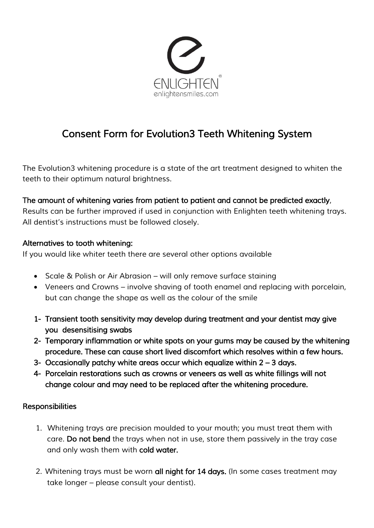

# *Consent Form for Evolution3 Teeth Whitening System*

*The Evolution3 whitening procedure is a state of the art treatment designed to whiten the teeth to their optimum natural brightness.*

### *The amount of whitening varies from patient to patient and cannot be predicted exactly,*

*Results can be further improved if used in conjunction with Enlighten teeth whitening trays. All dentist's instructions must be followed closely.*

#### *Alternatives to tooth whitening:*

*If you would like whiter teeth there are several other options available*

- *Scale & Polish or Air Abrasion – will only remove surface staining*
- *Veneers and Crowns – involve shaving of tooth enamel and replacing with porcelain, but can change the shape as well as the colour of the smile*
- *1- Transient tooth sensitivity may develop during treatment and your dentist may give you desensitising swabs*
- *2- Temporary inflammation or white spots on your gums may be caused by the whitening procedure. These can cause short lived discomfort which resolves within a few hours.*
- 3- Occasionally patchy white areas occur which equalize within 2 3 days.
- *4- Porcelain restorations such as crowns or veneers as well as white fillings will not change colour and may need to be replaced after the whitening procedure.*

### *Responsibilities*

- *1. Whitening trays are precision moulded to your mouth; you must treat them with care. Do not bend the trays when not in use, store them passively in the tray case and only wash them with cold water.*
- *2. Whitening trays must be worn all night for 14 days. (In some cases treatment may take longer – please consult your dentist).*